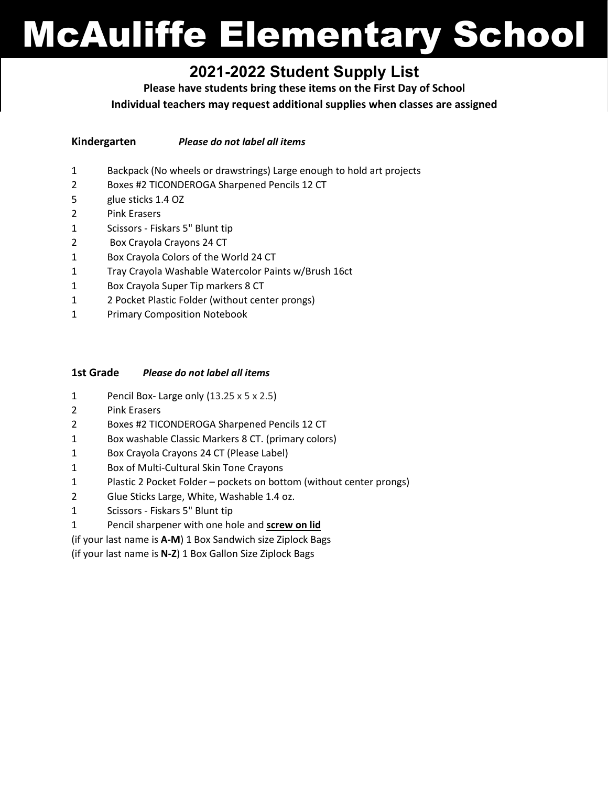# McAuliffe Elementary School

# **2021-2022 Student Supply List**

**Please have students bring these items on the First Day of School**

**Individual teachers may request additional supplies when classes are assigned**

- **Kindergarten** *Please do not label all items*
- 1 Backpack (No wheels or drawstrings) Large enough to hold art projects
- 2 Boxes #2 TICONDEROGA Sharpened Pencils 12 CT
- 5 glue sticks 1.4 OZ
- 2 Pink Erasers
- 1 Scissors Fiskars 5" Blunt tip
- 2 Box Crayola Crayons 24 CT
- 1 Box Crayola Colors of the World 24 CT
- 1 Tray Crayola Washable Watercolor Paints w/Brush 16ct
- 1 Box Crayola Super Tip markers 8 CT
- 1 2 Pocket Plastic Folder (without center prongs)
- 1 Primary Composition Notebook

#### **1st Grade** *Please do not label all items*

- 1 Pencil Box- Large only (13.25 x 5 x 2.5)
- 2 Pink Erasers
- 2 Boxes #2 TICONDEROGA Sharpened Pencils 12 CT
- 1 Box washable Classic Markers 8 CT. (primary colors)
- 1 Box Crayola Crayons 24 CT (Please Label)
- 1 Box of Multi-Cultural Skin Tone Crayons
- 1 Plastic 2 Pocket Folder pockets on bottom (without center prongs)
- 2 Glue Sticks Large, White, Washable 1.4 oz.
- 1 Scissors Fiskars 5" Blunt tip
- 1 Pencil sharpener with one hole and **screw on lid**

(if your last name is **A-M**) 1 Box Sandwich size Ziplock Bags

(if your last name is **N-Z**) 1 Box Gallon Size Ziplock Bags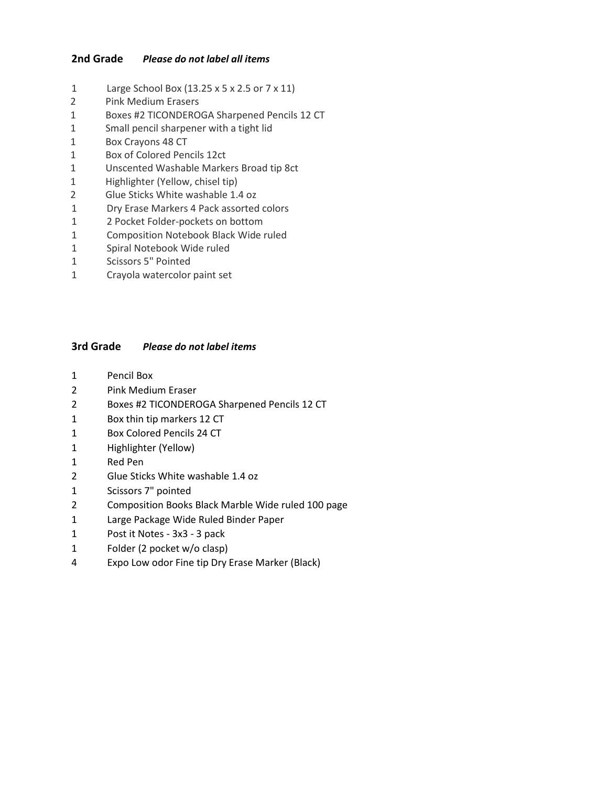#### **2nd Grade** *Please do not label all items*

- 1 Large School Box (13.25 x 5 x 2.5 or 7 x 11)
- 2 Pink Medium Erasers
- 1 Boxes #2 TICONDEROGA Sharpened Pencils 12 CT
- 1 Small pencil sharpener with a tight lid
- 1 Box Crayons 48 CT
- 1 Box of Colored Pencils 12ct
- 1 Unscented Washable Markers Broad tip 8ct
- 1 Highlighter (Yellow, chisel tip)
- 2 Glue Sticks White washable 1.4 oz
- 1 Dry Erase Markers 4 Pack assorted colors
- 1 2 Pocket Folder-pockets on bottom
- 1 Composition Notebook Black Wide ruled
- 1 Spiral Notebook Wide ruled
- 1 Scissors 5" Pointed
- 1 Crayola watercolor paint set

#### **3rd Grade** *Please do not label items*

- 1 Pencil Box
- 2 Pink Medium Eraser
- 2 Boxes #2 TICONDEROGA Sharpened Pencils 12 CT
- 1 Box thin tip markers 12 CT
- 1 Box Colored Pencils 24 CT
- 1 Highlighter (Yellow)
- 1 Red Pen
- 2 Glue Sticks White washable 1.4 oz
- 1 Scissors 7" pointed
- 2 Composition Books Black Marble Wide ruled 100 page
- 1 Large Package Wide Ruled Binder Paper
- 1 Post it Notes 3x3 3 pack
- 1 Folder (2 pocket w/o clasp)
- 4 Expo Low odor Fine tip Dry Erase Marker (Black)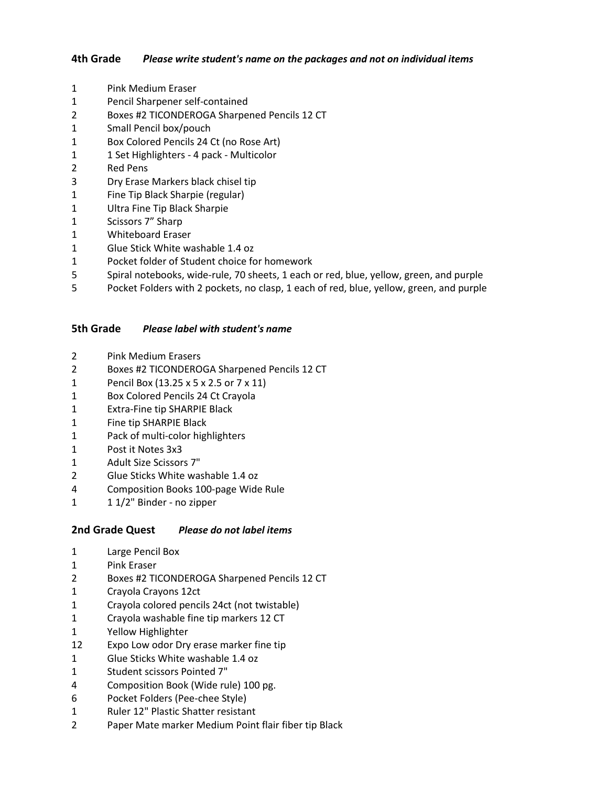#### **4th Grade** *Please write student's name on the packages and not on individual items*

- Pink Medium Eraser
- Pencil Sharpener self-contained
- Boxes #2 TICONDEROGA Sharpened Pencils 12 CT
- Small Pencil box/pouch
- Box Colored Pencils 24 Ct (no Rose Art)
- 1 1 Set Highlighters 4 pack Multicolor
- Red Pens
- Dry Erase Markers black chisel tip
- Fine Tip Black Sharpie (regular)
- Ultra Fine Tip Black Sharpie
- Scissors 7" Sharp
- Whiteboard Eraser
- Glue Stick White washable 1.4 oz
- Pocket folder of Student choice for homework
- Spiral notebooks, wide-rule, 70 sheets, 1 each or red, blue, yellow, green, and purple
- Pocket Folders with 2 pockets, no clasp, 1 each of red, blue, yellow, green, and purple

#### **5th Grade** *Please label with student's name*

- Pink Medium Erasers
- Boxes #2 TICONDEROGA Sharpened Pencils 12 CT
- Pencil Box (13.25 x 5 x 2.5 or 7 x 11)
- Box Colored Pencils 24 Ct Crayola
- Extra-Fine tip SHARPIE Black
- Fine tip SHARPIE Black
- Pack of multi-color highlighters
- Post it Notes 3x3
- Adult Size Scissors 7"
- Glue Sticks White washable 1.4 oz
- Composition Books 100-page Wide Rule
- 1 1/2" Binder no zipper

#### **2nd Grade Quest** *Please do not label items*

- Large Pencil Box
- Pink Eraser
- Boxes #2 TICONDEROGA Sharpened Pencils 12 CT
- Crayola Crayons 12ct
- Crayola colored pencils 24ct (not twistable)
- Crayola washable fine tip markers 12 CT
- Yellow Highlighter
- Expo Low odor Dry erase marker fine tip
- Glue Sticks White washable 1.4 oz
- Student scissors Pointed 7"
- Composition Book (Wide rule) 100 pg.
- Pocket Folders (Pee-chee Style)
- Ruler 12" Plastic Shatter resistant
- Paper Mate marker Medium Point flair fiber tip Black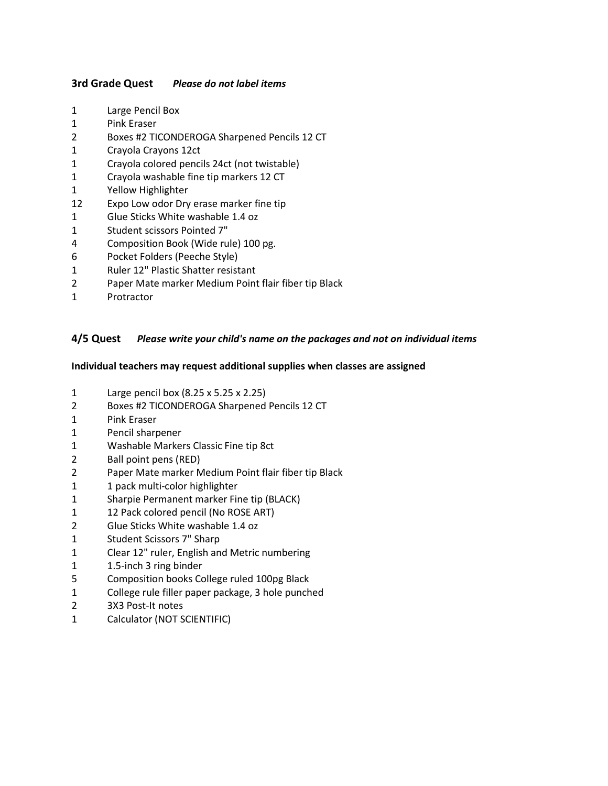#### **3rd Grade Quest** *Please do not label items*

- Large Pencil Box
- Pink Eraser
- Boxes #2 TICONDEROGA Sharpened Pencils 12 CT
- Crayola Crayons 12ct
- Crayola colored pencils 24ct (not twistable)
- Crayola washable fine tip markers 12 CT
- Yellow Highlighter
- Expo Low odor Dry erase marker fine tip
- Glue Sticks White washable 1.4 oz
- Student scissors Pointed 7"
- Composition Book (Wide rule) 100 pg.
- Pocket Folders (Peeche Style)
- Ruler 12" Plastic Shatter resistant
- Paper Mate marker Medium Point flair fiber tip Black
- 1 Protractor

#### **4/5 Quest** *Please write your child's name on the packages and not on individual items*

#### **Individual teachers may request additional supplies when classes are assigned**

- Large pencil box (8.25 x 5.25 x 2.25)
- Boxes #2 TICONDEROGA Sharpened Pencils 12 CT
- Pink Eraser
- Pencil sharpener
- Washable Markers Classic Fine tip 8ct
- Ball point pens (RED)
- Paper Mate marker Medium Point flair fiber tip Black
- 1 1 pack multi-color highlighter
- Sharpie Permanent marker Fine tip (BLACK)
- 1 12 Pack colored pencil (No ROSE ART)
- Glue Sticks White washable 1.4 oz
- Student Scissors 7" Sharp
- Clear 12" ruler, English and Metric numbering
- 1.5-inch 3 ring binder
- Composition books College ruled 100pg Black
- College rule filler paper package, 3 hole punched
- 3X3 Post-It notes
- Calculator (NOT SCIENTIFIC)